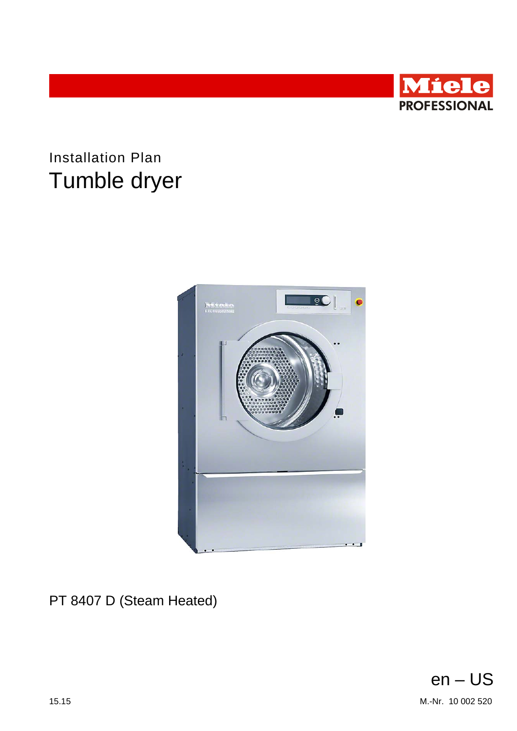

## **Installation Plan** Tumble dryer



PT 8407 D (Steam Heated)

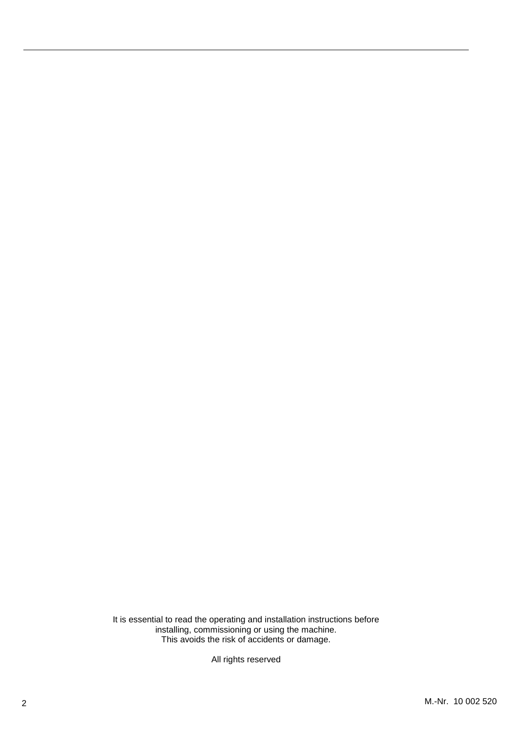## 86\$

0LHOH,QF

1DWLRQDO+HDGTXDUWHUV ,QGHSHQGHQFH:D\ 3ULQFHWRQ1-

3 K: R80Q-9B1-9380

609-419-9898

Fax : 609-419-4241

www.mieleusa.com

Technical Service & Support Nationwide Phone: 800-991-9380<br>Fax: 800-220-1348 Fax: 800-220-1348

proservice@mieleusa.com

It is essential to read the operating and installation instructions before installing, commissioning or using the machine. This avoids the risk of accidents or damage.

All rights reserved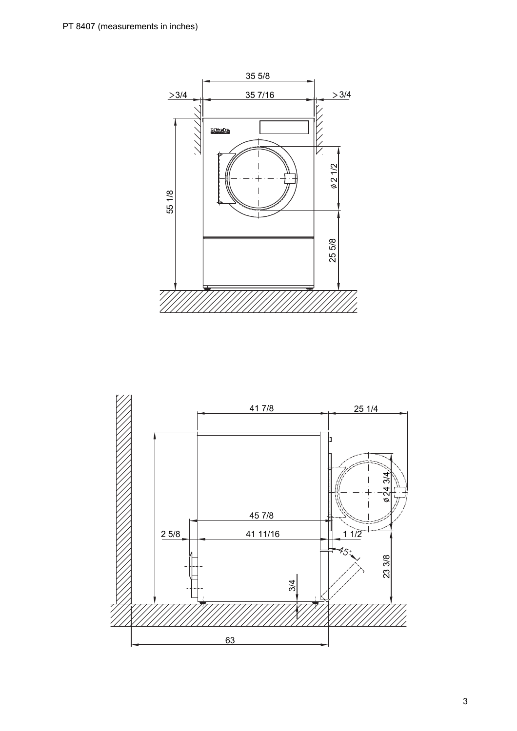

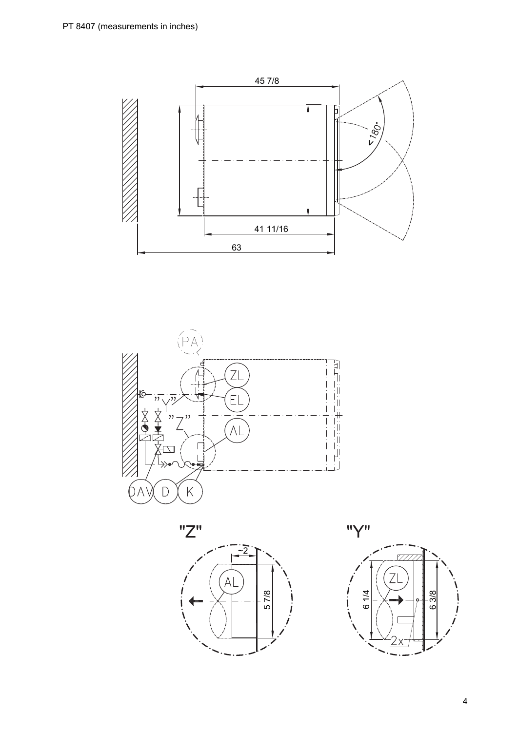





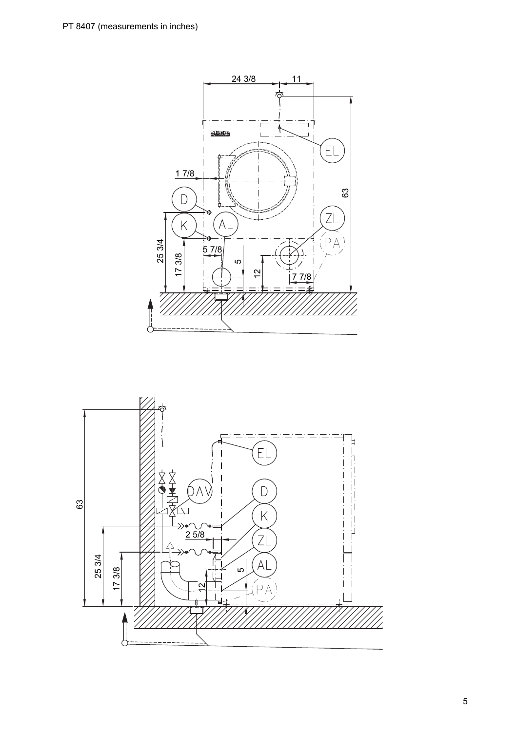

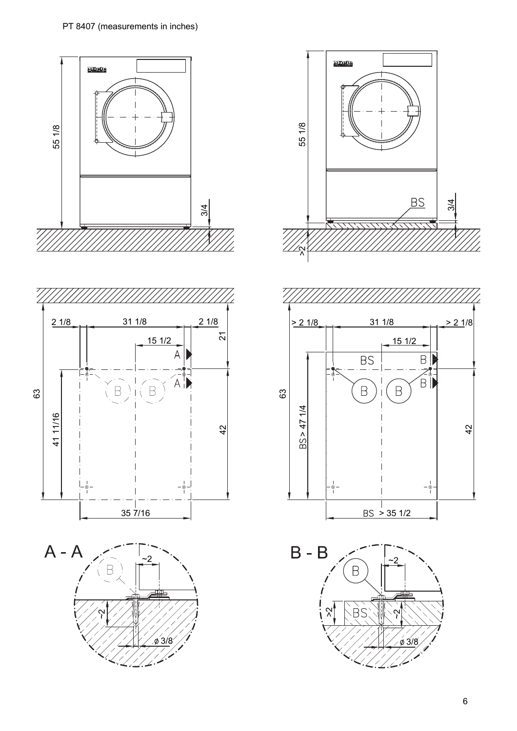









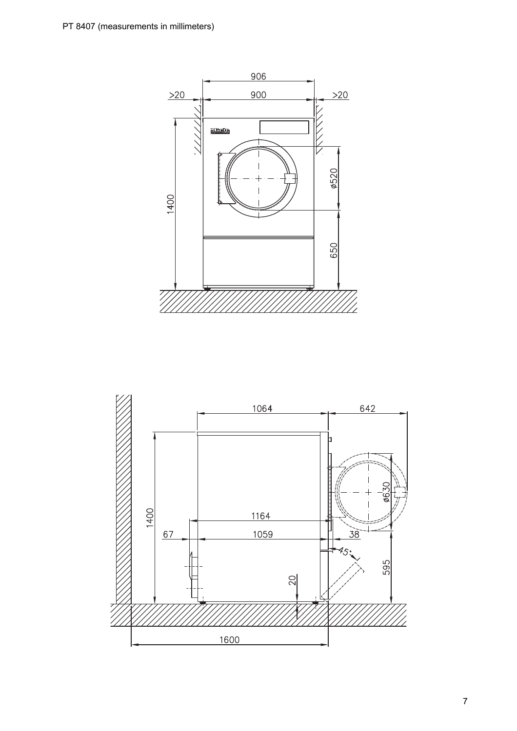

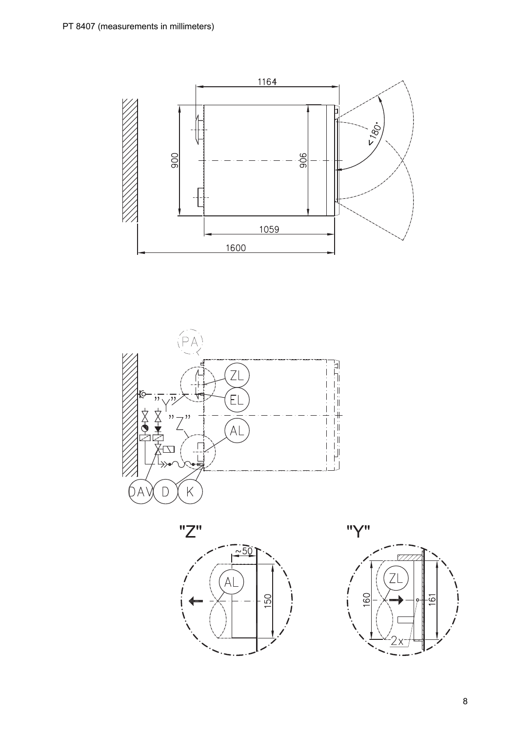





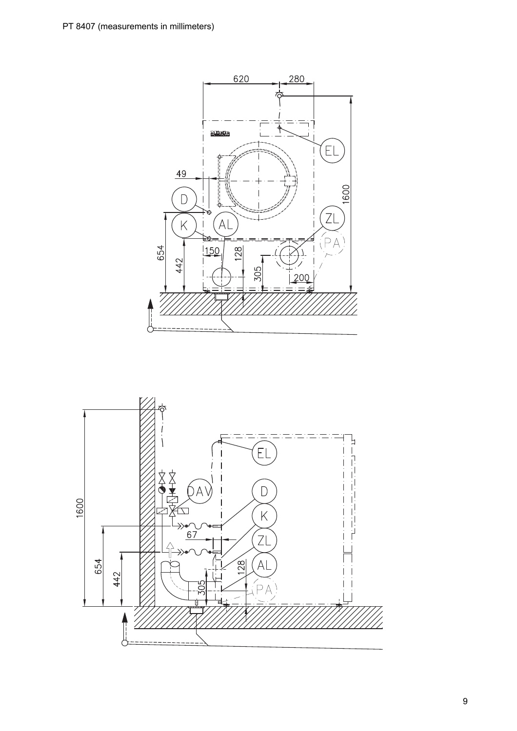

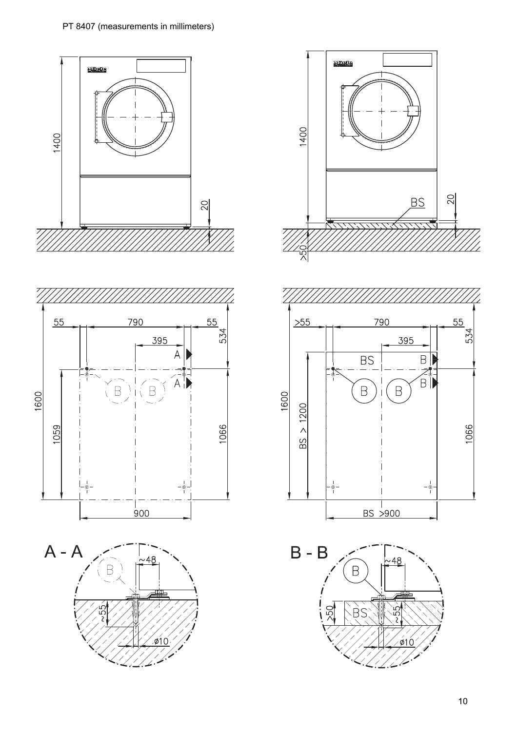









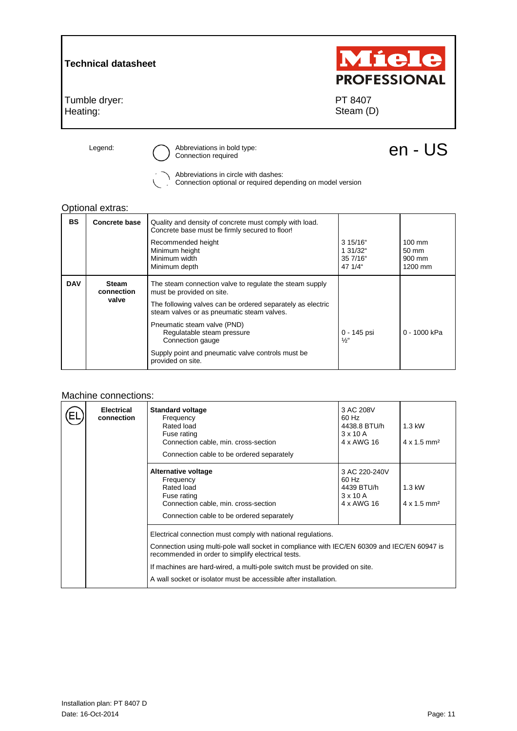

Abbreviations in circle with dashes:

Connection optional or required depending on model version

## Optional extras:

| <b>BS</b>  | <b>Concrete base</b>                | Quality and density of concrete must comply with load.<br>Concrete base must be firmly secured to floor!<br>Recommended height<br>Minimum height<br>Minimum width<br>Minimum depth                                                                                                                                                                           | 3 15/16"<br>1 31/32"<br>35 7/16"<br>47 1/4" | $100 \text{ mm}$<br>$50 \text{ mm}$<br>900 mm<br>1200 mm |
|------------|-------------------------------------|--------------------------------------------------------------------------------------------------------------------------------------------------------------------------------------------------------------------------------------------------------------------------------------------------------------------------------------------------------------|---------------------------------------------|----------------------------------------------------------|
| <b>DAV</b> | <b>Steam</b><br>connection<br>valve | The steam connection valve to regulate the steam supply<br>must be provided on site.<br>The following valves can be ordered separately as electric<br>steam valves or as pneumatic steam valves.<br>Pneumatic steam valve (PND)<br>Regulatable steam pressure<br>Connection gauge<br>Supply point and pneumatic valve controls must be.<br>provided on site. | 0 - 145 psi<br>$\frac{1}{2}$ "              | 0 - 1000 kPa                                             |

## Machine connections:

| <b>Electrical</b><br>connection | <b>Standard voltage</b><br>Frequency<br>Rated load<br>Fuse rating<br>Connection cable, min. cross-section<br>Connection cable to be ordered separately                                                                                                                                                                                                             | 3 AC 208V<br>60 Hz<br>4438.8 BTU/h<br>$3 \times 10$ A<br>4 x AWG 16   | $1.3$ kW<br>$4 \times 1.5$ mm <sup>2</sup> |
|---------------------------------|--------------------------------------------------------------------------------------------------------------------------------------------------------------------------------------------------------------------------------------------------------------------------------------------------------------------------------------------------------------------|-----------------------------------------------------------------------|--------------------------------------------|
|                                 | Alternative voltage<br>Frequency<br>Rated load<br>Fuse rating<br>Connection cable, min. cross-section<br>Connection cable to be ordered separately                                                                                                                                                                                                                 | 3 AC 220-240V<br>60 Hz<br>4439 BTU/h<br>$3 \times 10$ A<br>4 x AWG 16 | $1.3$ kW<br>$4 \times 1.5$ mm <sup>2</sup> |
|                                 | Electrical connection must comply with national regulations.<br>Connection using multi-pole wall socket in compliance with IEC/EN 60309 and IEC/EN 60947 is<br>recommended in order to simplify electrical tests.<br>If machines are hard-wired, a multi-pole switch must be provided on site.<br>A wall socket or isolator must be accessible after installation. |                                                                       |                                            |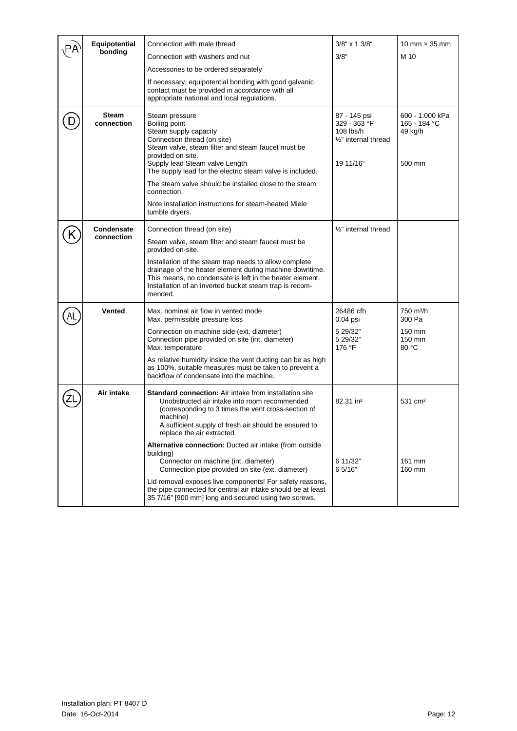|  | Equipotential<br>bonding   | Connection with male thread                                                                                                                                                                                                                                              | 3/8" x 1 3/8"                                                                       | 10 mm $\times$ 35 mm                                 |
|--|----------------------------|--------------------------------------------------------------------------------------------------------------------------------------------------------------------------------------------------------------------------------------------------------------------------|-------------------------------------------------------------------------------------|------------------------------------------------------|
|  |                            | Connection with washers and nut                                                                                                                                                                                                                                          | 3/8"                                                                                | M 10                                                 |
|  |                            | Accessories to be ordered separately                                                                                                                                                                                                                                     |                                                                                     |                                                      |
|  |                            | If necessary, equipotential bonding with good galvanic<br>contact must be provided in accordance with all<br>appropriate national and local regulations.                                                                                                                 |                                                                                     |                                                      |
|  | <b>Steam</b><br>connection | Steam pressure<br>Boiling point<br>Steam supply capacity<br>Connection thread (on site)<br>Steam valve, steam filter and steam faucet must be<br>provided on site.<br>Supply lead Steam valve Length<br>The supply lead for the electric steam valve is included.        | 87 - 145 psi<br>329 - 363 °F<br>$108$ lbs/h<br>$1/2$ " internal thread<br>19 11/16" | 600 - 1.000 kPa<br>165 - 184 °C<br>49 kg/h<br>500 mm |
|  |                            | The steam valve should be installed close to the steam<br>connection.                                                                                                                                                                                                    |                                                                                     |                                                      |
|  |                            | Note installation instructions for steam-heated Miele<br>tumble dryers.                                                                                                                                                                                                  |                                                                                     |                                                      |
|  | Condensate                 | Connection thread (on site)                                                                                                                                                                                                                                              | 1/2" internal thread                                                                |                                                      |
|  | connection                 | Steam valve, steam filter and steam faucet must be<br>provided on-site.                                                                                                                                                                                                  |                                                                                     |                                                      |
|  |                            | Installation of the steam trap needs to allow complete<br>drainage of the heater element during machine downtime.<br>This means, no condensate is left in the heater element.<br>Installation of an inverted bucket steam trap is recom-<br>mended.                      |                                                                                     |                                                      |
|  | <b>Vented</b>              | Max. nominal air flow in vented mode<br>Max. permissible pressure loss                                                                                                                                                                                                   | 26486 cfh<br>0.04 psi                                                               | 750 m <sup>3</sup> /h<br>300 Pa                      |
|  |                            | Connection on machine side (ext. diameter)<br>Connection pipe provided on site (int. diameter)<br>Max. temperature                                                                                                                                                       | 5 29/32"<br>5 29/32"<br>176 °F                                                      | 150 mm<br>150 mm<br>80 °C                            |
|  |                            | As relative humidity inside the vent ducting can be as high<br>as 100%, suitable measures must be taken to prevent a<br>backflow of condensate into the machine.                                                                                                         |                                                                                     |                                                      |
|  | Air intake                 | <b>Standard connection:</b> Air intake from installation site<br>Unobstructed air intake into room recommended<br>(corresponding to 3 times the vent cross-section of<br>machine)<br>A sufficient supply of fresh air should be ensured to<br>replace the air extracted. | 82.31 in <sup>2</sup>                                                               | 531 cm <sup>2</sup>                                  |
|  |                            | Alternative connection: Ducted air intake (from outside<br>building)<br>Connector on machine (int. diameter)<br>Connection pipe provided on site (ext. diameter)                                                                                                         | 6 11/32"<br>6 5/16"                                                                 | 161 mm<br>160 mm                                     |
|  |                            | Lid removal exposes live components! For safety reasons,<br>the pipe connected for central air intake should be at least<br>35 7/16" [900 mm] long and secured using two screws.                                                                                         |                                                                                     |                                                      |